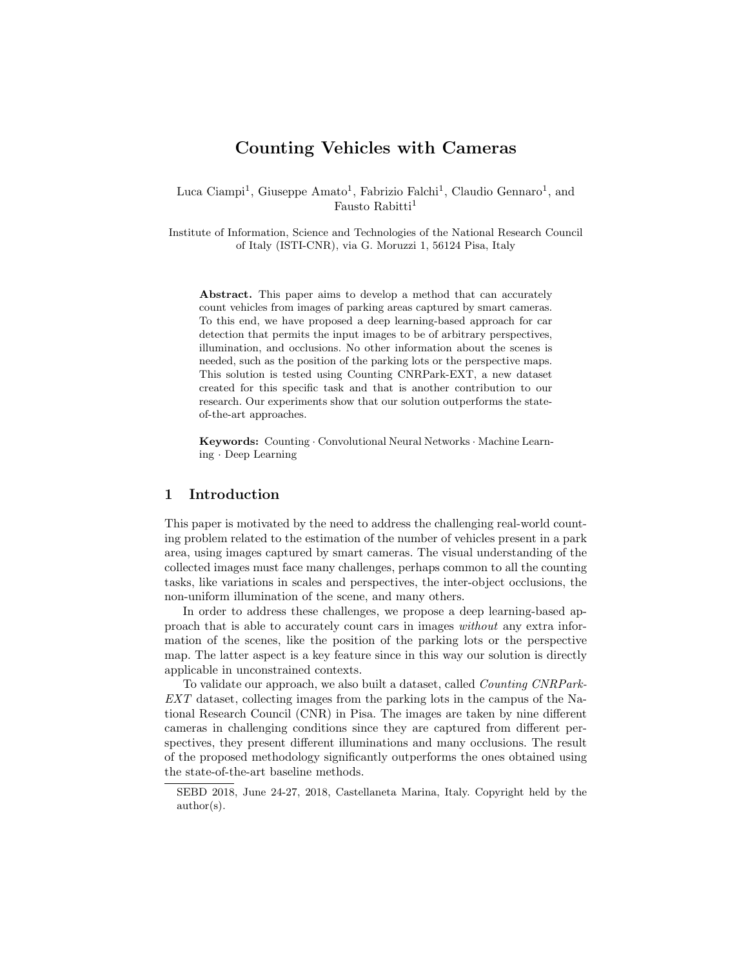# Counting Vehicles with Cameras

Luca Ciampi<sup>1</sup>, Giuseppe Amato<sup>1</sup>, Fabrizio Falchi<sup>1</sup>, Claudio Gennaro<sup>1</sup>, and Fausto Rabitti<sup>1</sup>

Institute of Information, Science and Technologies of the National Research Council of Italy (ISTI-CNR), via G. Moruzzi 1, 56124 Pisa, Italy

Abstract. This paper aims to develop a method that can accurately count vehicles from images of parking areas captured by smart cameras. To this end, we have proposed a deep learning-based approach for car detection that permits the input images to be of arbitrary perspectives, illumination, and occlusions. No other information about the scenes is needed, such as the position of the parking lots or the perspective maps. This solution is tested using Counting CNRPark-EXT, a new dataset created for this specific task and that is another contribution to our research. Our experiments show that our solution outperforms the stateof-the-art approaches.

Keywords: Counting · Convolutional Neural Networks · Machine Learning · Deep Learning

## 1 Introduction

This paper is motivated by the need to address the challenging real-world counting problem related to the estimation of the number of vehicles present in a park area, using images captured by smart cameras. The visual understanding of the collected images must face many challenges, perhaps common to all the counting tasks, like variations in scales and perspectives, the inter-object occlusions, the non-uniform illumination of the scene, and many others.

In order to address these challenges, we propose a deep learning-based approach that is able to accurately count cars in images without any extra information of the scenes, like the position of the parking lots or the perspective map. The latter aspect is a key feature since in this way our solution is directly applicable in unconstrained contexts.

To validate our approach, we also built a dataset, called Counting CNRPark-EXT dataset, collecting images from the parking lots in the campus of the National Research Council (CNR) in Pisa. The images are taken by nine different cameras in challenging conditions since they are captured from different perspectives, they present different illuminations and many occlusions. The result of the proposed methodology significantly outperforms the ones obtained using the state-of-the-art baseline methods.

SEBD 2018, June 24-27, 2018, Castellaneta Marina, Italy. Copyright held by the author(s).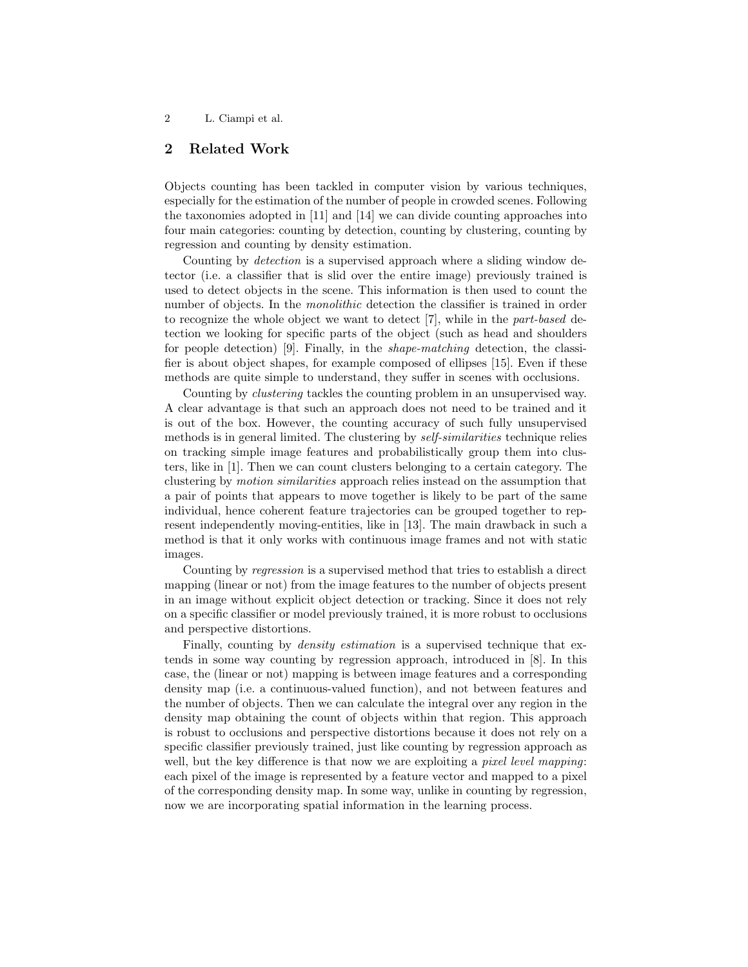# 2 Related Work

Objects counting has been tackled in computer vision by various techniques, especially for the estimation of the number of people in crowded scenes. Following the taxonomies adopted in [11] and [14] we can divide counting approaches into four main categories: counting by detection, counting by clustering, counting by regression and counting by density estimation.

Counting by detection is a supervised approach where a sliding window detector (i.e. a classifier that is slid over the entire image) previously trained is used to detect objects in the scene. This information is then used to count the number of objects. In the *monolithic* detection the classifier is trained in order to recognize the whole object we want to detect [7], while in the part-based detection we looking for specific parts of the object (such as head and shoulders for people detection) [9]. Finally, in the shape-matching detection, the classifier is about object shapes, for example composed of ellipses [15]. Even if these methods are quite simple to understand, they suffer in scenes with occlusions.

Counting by clustering tackles the counting problem in an unsupervised way. A clear advantage is that such an approach does not need to be trained and it is out of the box. However, the counting accuracy of such fully unsupervised methods is in general limited. The clustering by self-similarities technique relies on tracking simple image features and probabilistically group them into clusters, like in [1]. Then we can count clusters belonging to a certain category. The clustering by motion similarities approach relies instead on the assumption that a pair of points that appears to move together is likely to be part of the same individual, hence coherent feature trajectories can be grouped together to represent independently moving-entities, like in [13]. The main drawback in such a method is that it only works with continuous image frames and not with static images.

Counting by regression is a supervised method that tries to establish a direct mapping (linear or not) from the image features to the number of objects present in an image without explicit object detection or tracking. Since it does not rely on a specific classifier or model previously trained, it is more robust to occlusions and perspective distortions.

Finally, counting by *density estimation* is a supervised technique that extends in some way counting by regression approach, introduced in [8]. In this case, the (linear or not) mapping is between image features and a corresponding density map (i.e. a continuous-valued function), and not between features and the number of objects. Then we can calculate the integral over any region in the density map obtaining the count of objects within that region. This approach is robust to occlusions and perspective distortions because it does not rely on a specific classifier previously trained, just like counting by regression approach as well, but the key difference is that now we are exploiting a *pixel level mapping*: each pixel of the image is represented by a feature vector and mapped to a pixel of the corresponding density map. In some way, unlike in counting by regression, now we are incorporating spatial information in the learning process.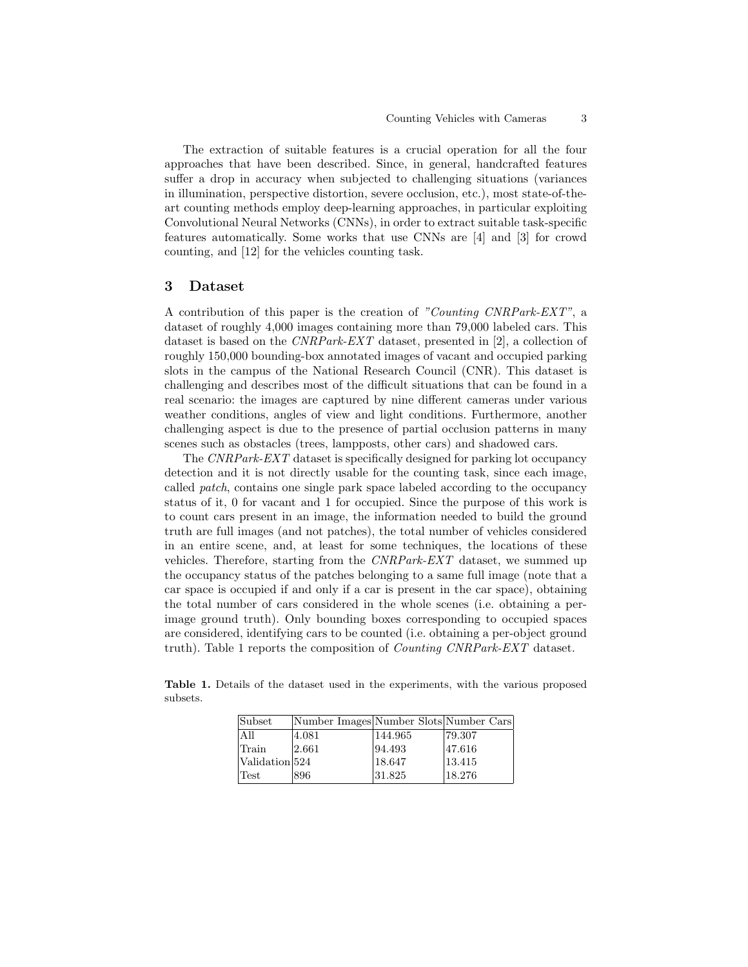The extraction of suitable features is a crucial operation for all the four approaches that have been described. Since, in general, handcrafted features suffer a drop in accuracy when subjected to challenging situations (variances in illumination, perspective distortion, severe occlusion, etc.), most state-of-theart counting methods employ deep-learning approaches, in particular exploiting Convolutional Neural Networks (CNNs), in order to extract suitable task-specific features automatically. Some works that use CNNs are [4] and [3] for crowd counting, and [12] for the vehicles counting task.

#### 3 Dataset

A contribution of this paper is the creation of "Counting CNRPark-EXT", a dataset of roughly 4,000 images containing more than 79,000 labeled cars. This dataset is based on the CNRPark-EXT dataset, presented in [2], a collection of roughly 150,000 bounding-box annotated images of vacant and occupied parking slots in the campus of the National Research Council (CNR). This dataset is challenging and describes most of the difficult situations that can be found in a real scenario: the images are captured by nine different cameras under various weather conditions, angles of view and light conditions. Furthermore, another challenging aspect is due to the presence of partial occlusion patterns in many scenes such as obstacles (trees, lampposts, other cars) and shadowed cars.

The CNRPark-EXT dataset is specifically designed for parking lot occupancy detection and it is not directly usable for the counting task, since each image, called patch, contains one single park space labeled according to the occupancy status of it, 0 for vacant and 1 for occupied. Since the purpose of this work is to count cars present in an image, the information needed to build the ground truth are full images (and not patches), the total number of vehicles considered in an entire scene, and, at least for some techniques, the locations of these vehicles. Therefore, starting from the CNRPark-EXT dataset, we summed up the occupancy status of the patches belonging to a same full image (note that a car space is occupied if and only if a car is present in the car space), obtaining the total number of cars considered in the whole scenes (i.e. obtaining a perimage ground truth). Only bounding boxes corresponding to occupied spaces are considered, identifying cars to be counted (i.e. obtaining a per-object ground truth). Table 1 reports the composition of Counting CNRPark-EXT dataset.

Table 1. Details of the dataset used in the experiments, with the various proposed subsets.

| Subset         | Number Images Number Slots Number Cars |         |        |
|----------------|----------------------------------------|---------|--------|
| A II           | 4.081                                  | 144.965 | 79.307 |
| Train          | 2.661                                  | 94.493  | 47.616 |
| Validation 524 |                                        | 18.647  | 13.415 |
| Test           | 896                                    | 31.825  | 18.276 |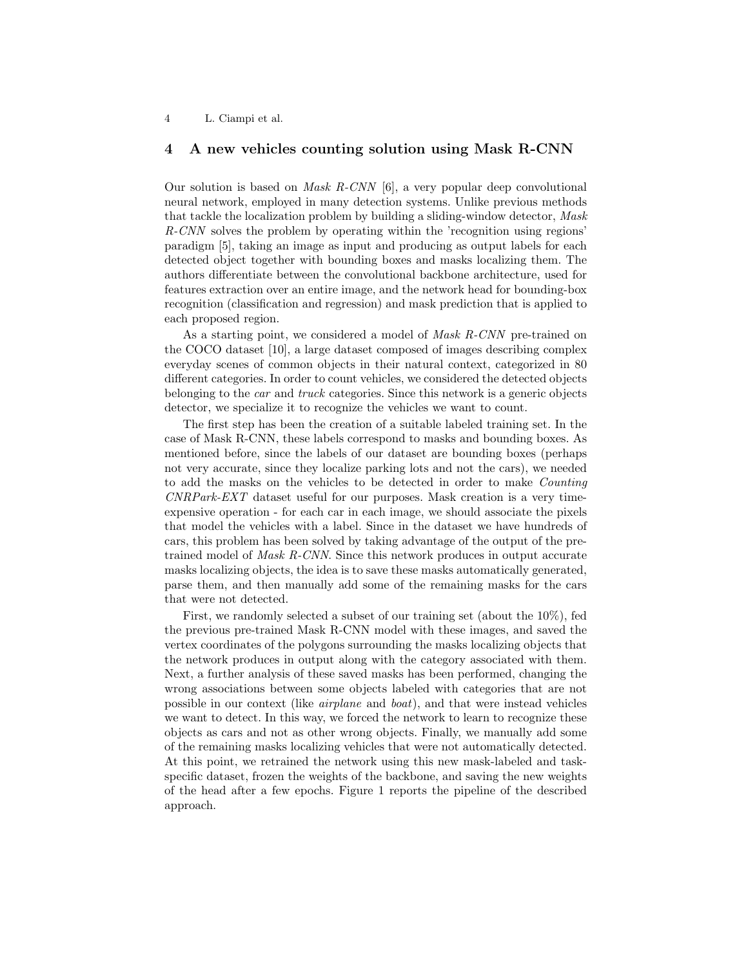### 4 A new vehicles counting solution using Mask R-CNN

Our solution is based on Mask R-CNN [6], a very popular deep convolutional neural network, employed in many detection systems. Unlike previous methods that tackle the localization problem by building a sliding-window detector, Mask R-CNN solves the problem by operating within the 'recognition using regions' paradigm [5], taking an image as input and producing as output labels for each detected object together with bounding boxes and masks localizing them. The authors differentiate between the convolutional backbone architecture, used for features extraction over an entire image, and the network head for bounding-box recognition (classification and regression) and mask prediction that is applied to each proposed region.

As a starting point, we considered a model of Mask R-CNN pre-trained on the COCO dataset [10], a large dataset composed of images describing complex everyday scenes of common objects in their natural context, categorized in 80 different categories. In order to count vehicles, we considered the detected objects belonging to the car and truck categories. Since this network is a generic objects detector, we specialize it to recognize the vehicles we want to count.

The first step has been the creation of a suitable labeled training set. In the case of Mask R-CNN, these labels correspond to masks and bounding boxes. As mentioned before, since the labels of our dataset are bounding boxes (perhaps not very accurate, since they localize parking lots and not the cars), we needed to add the masks on the vehicles to be detected in order to make Counting CNRPark-EXT dataset useful for our purposes. Mask creation is a very timeexpensive operation - for each car in each image, we should associate the pixels that model the vehicles with a label. Since in the dataset we have hundreds of cars, this problem has been solved by taking advantage of the output of the pretrained model of Mask R-CNN. Since this network produces in output accurate masks localizing objects, the idea is to save these masks automatically generated, parse them, and then manually add some of the remaining masks for the cars that were not detected.

First, we randomly selected a subset of our training set (about the 10%), fed the previous pre-trained Mask R-CNN model with these images, and saved the vertex coordinates of the polygons surrounding the masks localizing objects that the network produces in output along with the category associated with them. Next, a further analysis of these saved masks has been performed, changing the wrong associations between some objects labeled with categories that are not possible in our context (like airplane and boat), and that were instead vehicles we want to detect. In this way, we forced the network to learn to recognize these objects as cars and not as other wrong objects. Finally, we manually add some of the remaining masks localizing vehicles that were not automatically detected. At this point, we retrained the network using this new mask-labeled and taskspecific dataset, frozen the weights of the backbone, and saving the new weights of the head after a few epochs. Figure 1 reports the pipeline of the described approach.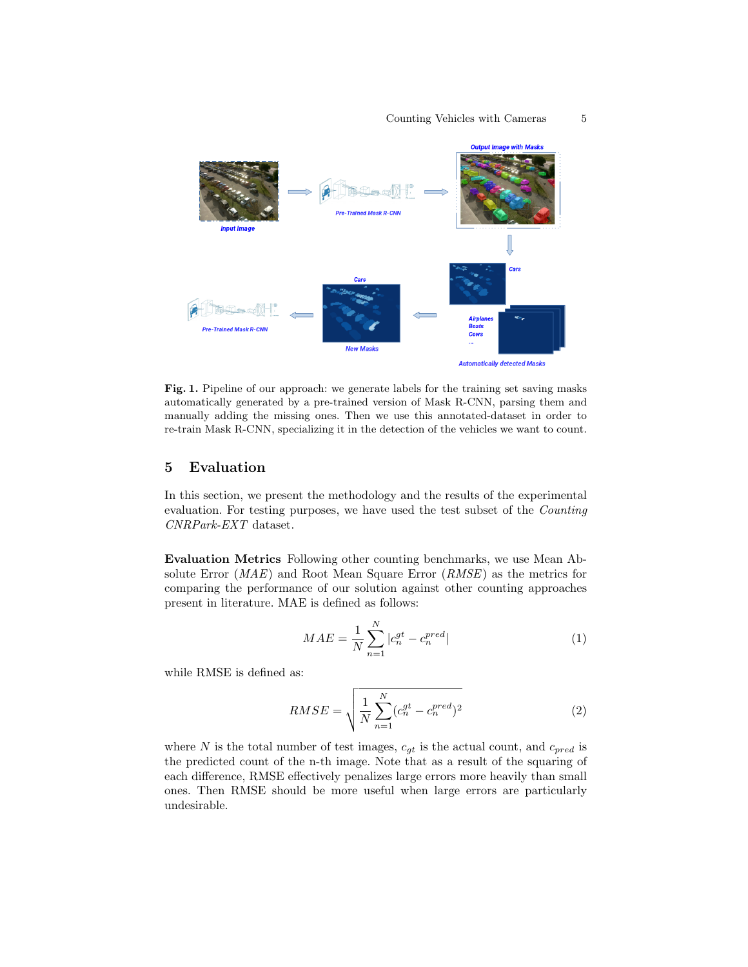

Fig. 1. Pipeline of our approach: we generate labels for the training set saving masks automatically generated by a pre-trained version of Mask R-CNN, parsing them and manually adding the missing ones. Then we use this annotated-dataset in order to re-train Mask R-CNN, specializing it in the detection of the vehicles we want to count.

#### 5 Evaluation

In this section, we present the methodology and the results of the experimental evaluation. For testing purposes, we have used the test subset of the Counting CNRPark-EXT dataset.

Evaluation Metrics Following other counting benchmarks, we use Mean Absolute Error (MAE) and Root Mean Square Error (RMSE) as the metrics for comparing the performance of our solution against other counting approaches present in literature. MAE is defined as follows:

$$
MAE = \frac{1}{N} \sum_{n=1}^{N} |c_n^{gt} - c_n^{pred}|
$$
\n(1)

while RMSE is defined as:

$$
RMSE = \sqrt{\frac{1}{N} \sum_{n=1}^{N} (c_n^{gt} - c_n^{pred})^2}
$$
 (2)

where N is the total number of test images,  $c_{gt}$  is the actual count, and  $c_{pred}$  is the predicted count of the n-th image. Note that as a result of the squaring of each difference, RMSE effectively penalizes large errors more heavily than small ones. Then RMSE should be more useful when large errors are particularly undesirable.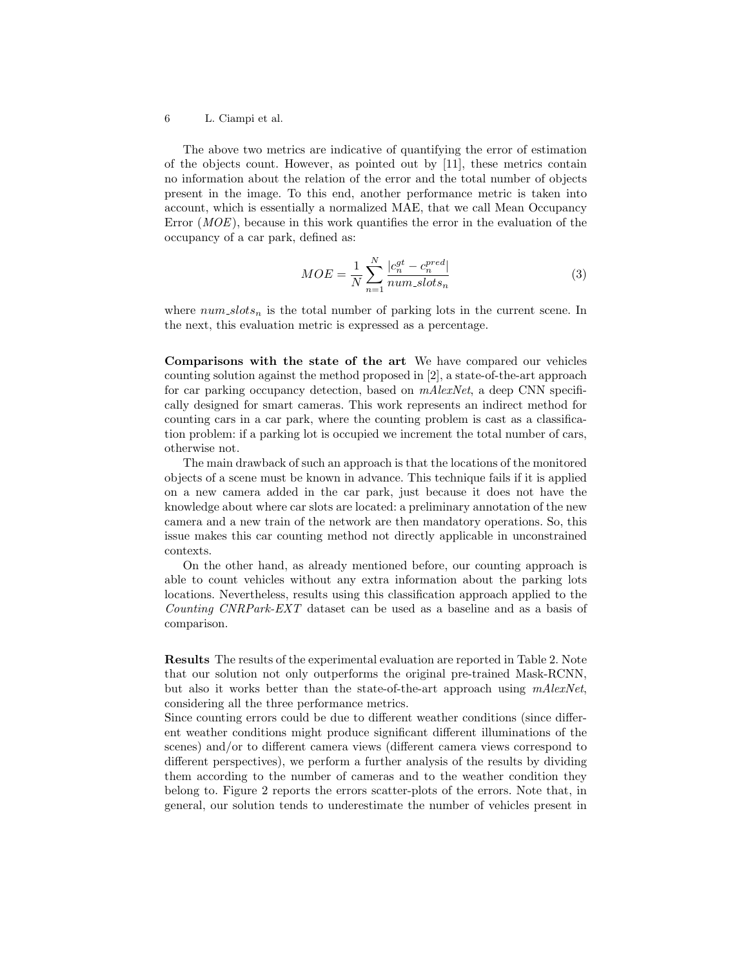#### 6 L. Ciampi et al.

The above two metrics are indicative of quantifying the error of estimation of the objects count. However, as pointed out by [11], these metrics contain no information about the relation of the error and the total number of objects present in the image. To this end, another performance metric is taken into account, which is essentially a normalized MAE, that we call Mean Occupancy Error  $(MOE)$ , because in this work quantifies the error in the evaluation of the occupancy of a car park, defined as:

$$
MOE = \frac{1}{N} \sum_{n=1}^{N} \frac{|c_n^{gt} - c_n^{pred}|}{num_s lots_n}
$$
\n(3)

where  $num\_ slots_n$  is the total number of parking lots in the current scene. In the next, this evaluation metric is expressed as a percentage.

Comparisons with the state of the art We have compared our vehicles counting solution against the method proposed in [2], a state-of-the-art approach for car parking occupancy detection, based on  $mAlexNet$ , a deep CNN specifically designed for smart cameras. This work represents an indirect method for counting cars in a car park, where the counting problem is cast as a classification problem: if a parking lot is occupied we increment the total number of cars, otherwise not.

The main drawback of such an approach is that the locations of the monitored objects of a scene must be known in advance. This technique fails if it is applied on a new camera added in the car park, just because it does not have the knowledge about where car slots are located: a preliminary annotation of the new camera and a new train of the network are then mandatory operations. So, this issue makes this car counting method not directly applicable in unconstrained contexts.

On the other hand, as already mentioned before, our counting approach is able to count vehicles without any extra information about the parking lots locations. Nevertheless, results using this classification approach applied to the Counting CNRPark-EXT dataset can be used as a baseline and as a basis of comparison.

Results The results of the experimental evaluation are reported in Table 2. Note that our solution not only outperforms the original pre-trained Mask-RCNN, but also it works better than the state-of-the-art approach using  $mAlexNet$ . considering all the three performance metrics.

Since counting errors could be due to different weather conditions (since different weather conditions might produce significant different illuminations of the scenes) and/or to different camera views (different camera views correspond to different perspectives), we perform a further analysis of the results by dividing them according to the number of cameras and to the weather condition they belong to. Figure 2 reports the errors scatter-plots of the errors. Note that, in general, our solution tends to underestimate the number of vehicles present in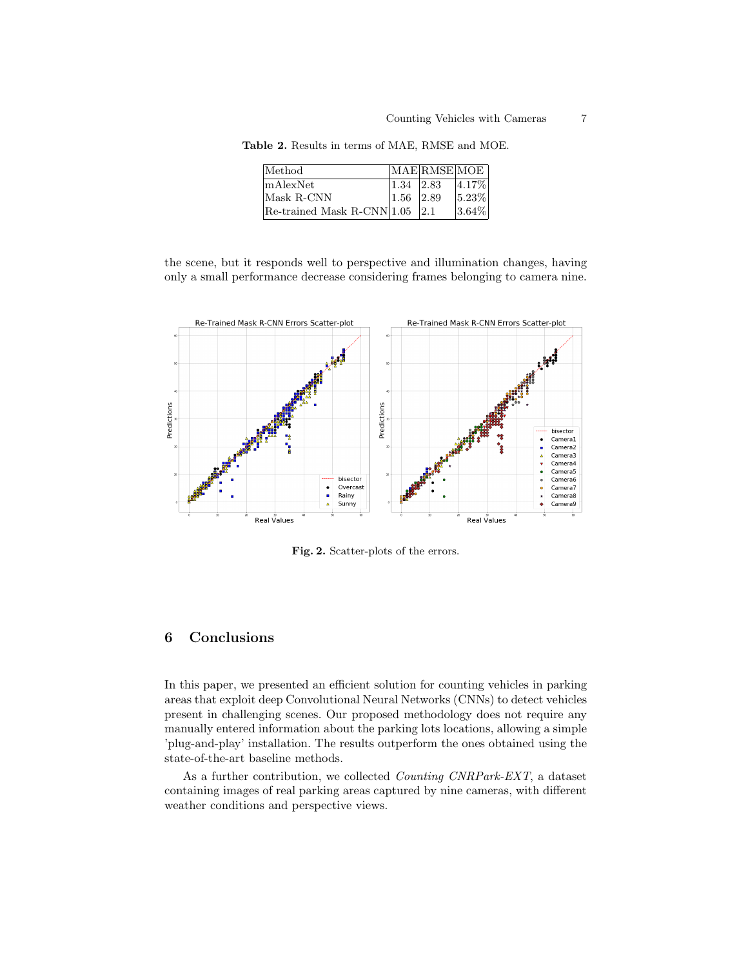| Method                             |                   | MAE RMSE MOE |            |
|------------------------------------|-------------------|--------------|------------|
| mAlexNet                           | $ 1.34 $ $ 2.83 $ |              | $ 4.17\% $ |
| Mask R-CNN                         | $1.56$ 2.89       |              | $ 5.23\% $ |
| Re-trained Mask R-CNN $ 1.05 $ 2.1 |                   |              | $3.64\%$   |

Table 2. Results in terms of MAE, RMSE and MOE.

the scene, but it responds well to perspective and illumination changes, having only a small performance decrease considering frames belonging to camera nine.



Fig. 2. Scatter-plots of the errors.

## 6 Conclusions

In this paper, we presented an efficient solution for counting vehicles in parking areas that exploit deep Convolutional Neural Networks (CNNs) to detect vehicles present in challenging scenes. Our proposed methodology does not require any manually entered information about the parking lots locations, allowing a simple 'plug-and-play' installation. The results outperform the ones obtained using the state-of-the-art baseline methods.

As a further contribution, we collected Counting CNRPark-EXT, a dataset containing images of real parking areas captured by nine cameras, with different weather conditions and perspective views.